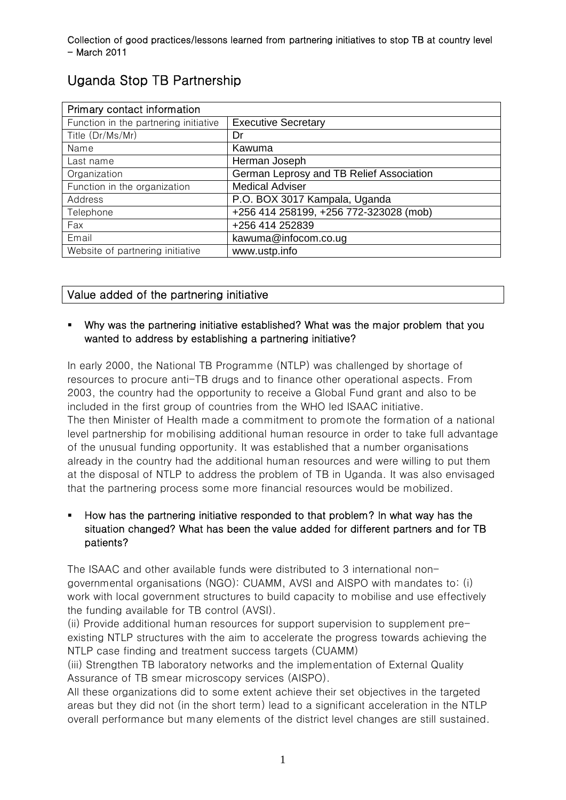| Primary contact information           |                                          |
|---------------------------------------|------------------------------------------|
| Function in the partnering initiative | <b>Executive Secretary</b>               |
| Title (Dr/Ms/Mr)                      | Dr                                       |
| Name                                  | Kawuma                                   |
| Last name                             | Herman Joseph                            |
| Organization                          | German Leprosy and TB Relief Association |
| Function in the organization          | <b>Medical Adviser</b>                   |
| Address                               | P.O. BOX 3017 Kampala, Uganda            |
| Telephone                             | +256 414 258199, +256 772-323028 (mob)   |
| Fax                                   | +256 414 252839                          |
| Email                                 | kawuma@infocom.co.ug                     |
| Website of partnering initiative      | www.ustp.info                            |

# Uganda Stop TB Partnership

# Value added of the partnering initiative

# Why was the partnering initiative established? What was the major problem that you wanted to address by establishing a partnering initiative?

In early 2000, the National TB Programme (NTLP) was challenged by shortage of resources to procure anti-TB drugs and to finance other operational aspects. From 2003, the country had the opportunity to receive a Global Fund grant and also to be included in the first group of countries from the WHO led ISAAC initiative. The then Minister of Health made a commitment to promote the formation of a national level partnership for mobilising additional human resource in order to take full advantage of the unusual funding opportunity. It was established that a number organisations already in the country had the additional human resources and were willing to put them at the disposal of NTLP to address the problem of TB in Uganda. It was also envisaged that the partnering process some more financial resources would be mobilized.

# How has the partnering initiative responded to that problem? In what way has the situation changed? What has been the value added for different partners and for TB patients?

The ISAAC and other available funds were distributed to 3 international nongovernmental organisations (NGO): CUAMM, AVSI and AISPO with mandates to: (i) work with local government structures to build capacity to mobilise and use effectively the funding available for TB control (AVSI).

(ii) Provide additional human resources for support supervision to supplement preexisting NTLP structures with the aim to accelerate the progress towards achieving the NTLP case finding and treatment success targets (CUAMM)

(iii) Strengthen TB laboratory networks and the implementation of External Quality Assurance of TB smear microscopy services (AISPO).

All these organizations did to some extent achieve their set objectives in the targeted areas but they did not (in the short term) lead to a significant acceleration in the NTLP overall performance but many elements of the district level changes are still sustained.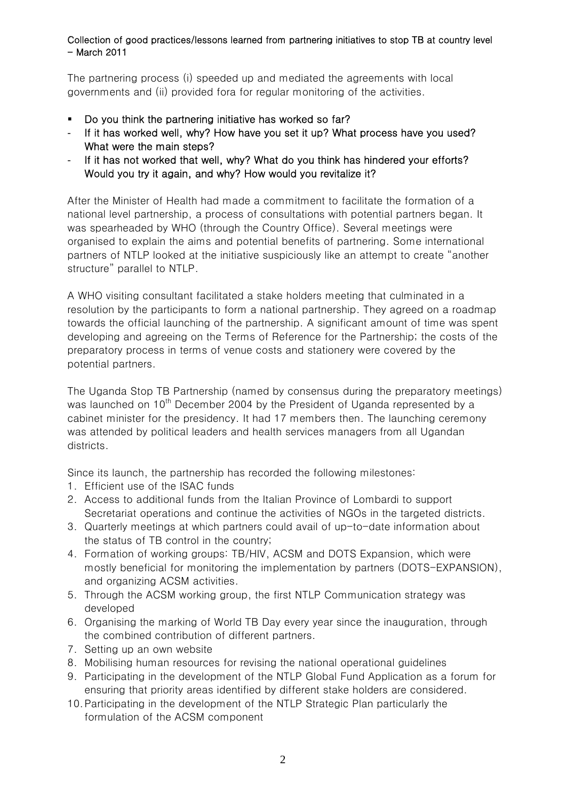The partnering process (i) speeded up and mediated the agreements with local governments and (ii) provided fora for regular monitoring of the activities.

- Do you think the partnering initiative has worked so far?
- If it has worked well, why? How have you set it up? What process have you used? What were the main steps?
- If it has not worked that well, why? What do you think has hindered your efforts? Would you try it again, and why? How would you revitalize it?

After the Minister of Health had made a commitment to facilitate the formation of a national level partnership, a process of consultations with potential partners began. It was spearheaded by WHO (through the Country Office). Several meetings were organised to explain the aims and potential benefits of partnering. Some international partners of NTLP looked at the initiative suspiciously like an attempt to create "another structure" parallel to NTLP.

A WHO visiting consultant facilitated a stake holders meeting that culminated in a resolution by the participants to form a national partnership. They agreed on a roadmap towards the official launching of the partnership. A significant amount of time was spent developing and agreeing on the Terms of Reference for the Partnership; the costs of the preparatory process in terms of venue costs and stationery were covered by the potential partners.

The Uganda Stop TB Partnership (named by consensus during the preparatory meetings) was launched on  $10<sup>th</sup>$  December 2004 by the President of Uganda represented by a cabinet minister for the presidency. It had 17 members then. The launching ceremony was attended by political leaders and health services managers from all Ugandan districts.

Since its launch, the partnership has recorded the following milestones:

- 1. Efficient use of the ISAC funds
- 2. Access to additional funds from the Italian Province of Lombardi to support Secretariat operations and continue the activities of NGOs in the targeted districts.
- 3. Quarterly meetings at which partners could avail of up-to-date information about the status of TB control in the country;
- 4. Formation of working groups: TB/HIV, ACSM and DOTS Expansion, which were mostly beneficial for monitoring the implementation by partners (DOTS-EXPANSION), and organizing ACSM activities.
- 5. Through the ACSM working group, the first NTLP Communication strategy was developed
- 6. Organising the marking of World TB Day every year since the inauguration, through the combined contribution of different partners.
- 7. Setting up an own website
- 8. Mobilising human resources for revising the national operational guidelines
- 9. Participating in the development of the NTLP Global Fund Application as a forum for ensuring that priority areas identified by different stake holders are considered.
- 10.Participating in the development of the NTLP Strategic Plan particularly the formulation of the ACSM component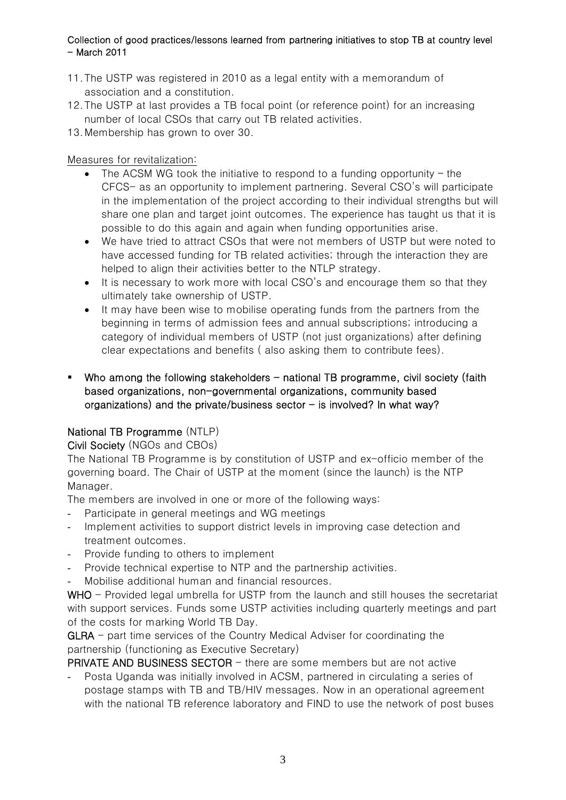- 11.The USTP was registered in 2010 as a legal entity with a memorandum of association and a constitution.
- 12.The USTP at last provides a TB focal point (or reference point) for an increasing number of local CSOs that carry out TB related activities.
- 13.Membership has grown to over 30.

Measures for revitalization:

- The ACSM WG took the initiative to respond to a funding opportunity the CFCS- as an opportunity to implement partnering. Several CSO's will participate in the implementation of the project according to their individual strengths but will share one plan and target joint outcomes. The experience has taught us that it is possible to do this again and again when funding opportunities arise.
- We have tried to attract CSOs that were not members of USTP but were noted to have accessed funding for TB related activities; through the interaction they are helped to align their activities better to the NTLP strategy.
- It is necessary to work more with local CSO's and encourage them so that they ultimately take ownership of USTP.
- It may have been wise to mobilise operating funds from the partners from the beginning in terms of admission fees and annual subscriptions; introducing a category of individual members of USTP (not just organizations) after defining clear expectations and benefits ( also asking them to contribute fees).
- Who among the following stakeholders  $-$  national TB programme, civil society (faith based organizations, non-governmental organizations, community based organizations) and the private/business sector  $-$  is involved? In what way?

# National TB Programme (NTLP)

Civil Society (NGOs and CBOs)

The National TB Programme is by constitution of USTP and ex-officio member of the governing board. The Chair of USTP at the moment (since the launch) is the NTP Manager.

The members are involved in one or more of the following ways:

- Participate in general meetings and WG meetings
- Implement activities to support district levels in improving case detection and treatment outcomes.
- Provide funding to others to implement
- Provide technical expertise to NTP and the partnership activities.
- Mobilise additional human and financial resources.

WHO - Provided legal umbrella for USTP from the launch and still houses the secretariat with support services. Funds some USTP activities including quarterly meetings and part of the costs for marking World TB Day.

GLRA - part time services of the Country Medical Adviser for coordinating the partnership (functioning as Executive Secretary)

PRIVATE AND BUSINESS SECTOR - there are some members but are not active

Posta Uganda was initially involved in ACSM, partnered in circulating a series of postage stamps with TB and TB/HIV messages. Now in an operational agreement with the national TB reference laboratory and FIND to use the network of post buses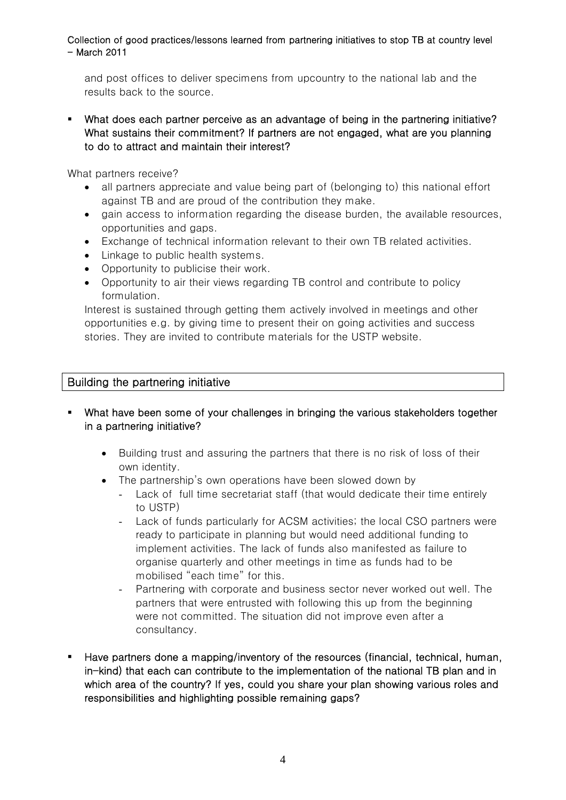and post offices to deliver specimens from upcountry to the national lab and the results back to the source.

 What does each partner perceive as an advantage of being in the partnering initiative? What sustains their commitment? If partners are not engaged, what are you planning to do to attract and maintain their interest?

What partners receive?

- all partners appreciate and value being part of (belonging to) this national effort against TB and are proud of the contribution they make.
- gain access to information regarding the disease burden, the available resources, opportunities and gaps.
- Exchange of technical information relevant to their own TB related activities.
- Linkage to public health systems.
- Opportunity to publicise their work.
- Opportunity to air their views regarding TB control and contribute to policy formulation.

Interest is sustained through getting them actively involved in meetings and other opportunities e.g. by giving time to present their on going activities and success stories. They are invited to contribute materials for the USTP website.

# Building the partnering initiative

- What have been some of your challenges in bringing the various stakeholders together in a partnering initiative?
	- Building trust and assuring the partners that there is no risk of loss of their own identity.
	- The partnership's own operations have been slowed down by
		- Lack of full time secretariat staff (that would dedicate their time entirely to USTP)
		- Lack of funds particularly for ACSM activities; the local CSO partners were ready to participate in planning but would need additional funding to implement activities. The lack of funds also manifested as failure to organise quarterly and other meetings in time as funds had to be mobilised "each time" for this.
		- Partnering with corporate and business sector never worked out well. The partners that were entrusted with following this up from the beginning were not committed. The situation did not improve even after a consultancy.
- Have partners done a mapping/inventory of the resources (financial, technical, human, in-kind) that each can contribute to the implementation of the national TB plan and in which area of the country? If yes, could you share your plan showing various roles and responsibilities and highlighting possible remaining gaps?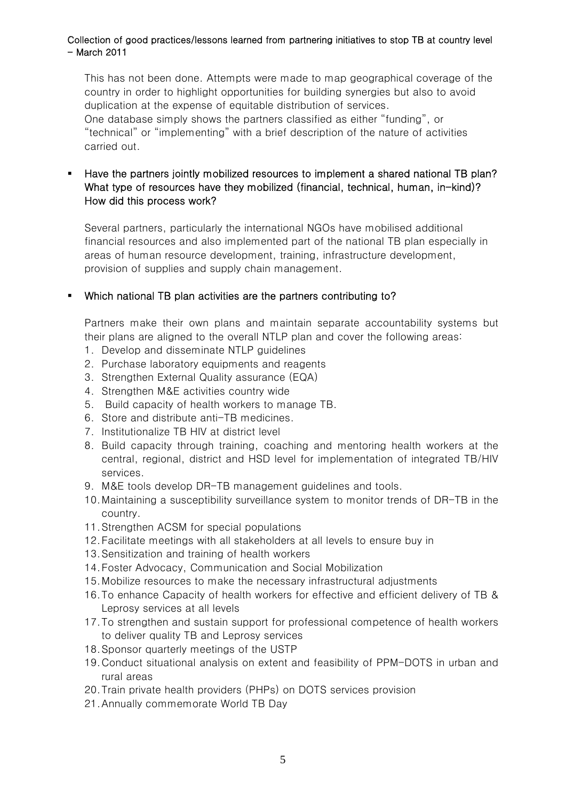This has not been done. Attempts were made to map geographical coverage of the country in order to highlight opportunities for building synergies but also to avoid duplication at the expense of equitable distribution of services. One database simply shows the partners classified as either "funding", or "technical" or "implementing" with a brief description of the nature of activities carried out.

### Have the partners jointly mobilized resources to implement a shared national TB plan? What type of resources have they mobilized (financial, technical, human, in-kind)? How did this process work?

Several partners, particularly the international NGOs have mobilised additional financial resources and also implemented part of the national TB plan especially in areas of human resource development, training, infrastructure development, provision of supplies and supply chain management.

### Which national TB plan activities are the partners contributing to?

Partners make their own plans and maintain separate accountability systems but their plans are aligned to the overall NTLP plan and cover the following areas:

- 1. Develop and disseminate NTLP guidelines
- 2. Purchase laboratory equipments and reagents
- 3. Strengthen External Quality assurance (EQA)
- 4. Strengthen M&E activities country wide
- 5. Build capacity of health workers to manage TB.
- 6. Store and distribute anti-TB medicines.
- 7. Institutionalize TB HIV at district level
- 8. Build capacity through training, coaching and mentoring health workers at the central, regional, district and HSD level for implementation of integrated TB/HIV services.
- 9. M&E tools develop DR-TB management guidelines and tools.
- 10.Maintaining a susceptibility surveillance system to monitor trends of DR-TB in the country.
- 11.Strengthen ACSM for special populations
- 12.Facilitate meetings with all stakeholders at all levels to ensure buy in
- 13.Sensitization and training of health workers
- 14.Foster Advocacy, Communication and Social Mobilization
- 15.Mobilize resources to make the necessary infrastructural adjustments
- 16.To enhance Capacity of health workers for effective and efficient delivery of TB & Leprosy services at all levels
- 17.To strengthen and sustain support for professional competence of health workers to deliver quality TB and Leprosy services
- 18.Sponsor quarterly meetings of the USTP
- 19.Conduct situational analysis on extent and feasibility of PPM-DOTS in urban and rural areas
- 20.Train private health providers (PHPs) on DOTS services provision
- 21.Annually commemorate World TB Day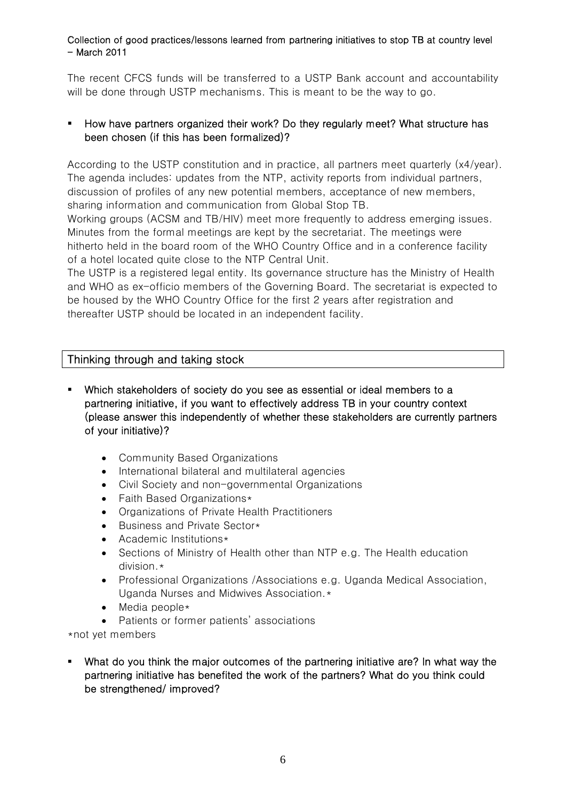The recent CFCS funds will be transferred to a USTP Bank account and accountability will be done through USTP mechanisms. This is meant to be the way to go.

## How have partners organized their work? Do they regularly meet? What structure has been chosen (if this has been formalized)?

According to the USTP constitution and in practice, all partners meet quarterly (x4/year). The agenda includes: updates from the NTP, activity reports from individual partners, discussion of profiles of any new potential members, acceptance of new members, sharing information and communication from Global Stop TB.

Working groups (ACSM and TB/HIV) meet more frequently to address emerging issues. Minutes from the formal meetings are kept by the secretariat. The meetings were hitherto held in the board room of the WHO Country Office and in a conference facility of a hotel located quite close to the NTP Central Unit.

The USTP is a registered legal entity. Its governance structure has the Ministry of Health and WHO as ex-officio members of the Governing Board. The secretariat is expected to be housed by the WHO Country Office for the first 2 years after registration and thereafter USTP should be located in an independent facility.

# Thinking through and taking stock

- Which stakeholders of society do you see as essential or ideal members to a partnering initiative, if you want to effectively address TB in your country context (please answer this independently of whether these stakeholders are currently partners of your initiative)?
	- Community Based Organizations
	- International bilateral and multilateral agencies
	- Civil Society and non-governmental Organizations
	- Faith Based Organizations\*
	- Organizations of Private Health Practitioners
	- Business and Private Sector\*
	- Academic Institutions\*
	- Sections of Ministry of Health other than NTP e.g. The Health education division.\*
	- Professional Organizations /Associations e.g. Uganda Medical Association, Uganda Nurses and Midwives Association.\*
	- Media people\*
	- Patients or former patients' associations

\*not yet members

 What do you think the major outcomes of the partnering initiative are? In what way the partnering initiative has benefited the work of the partners? What do you think could be strengthened/ improved?